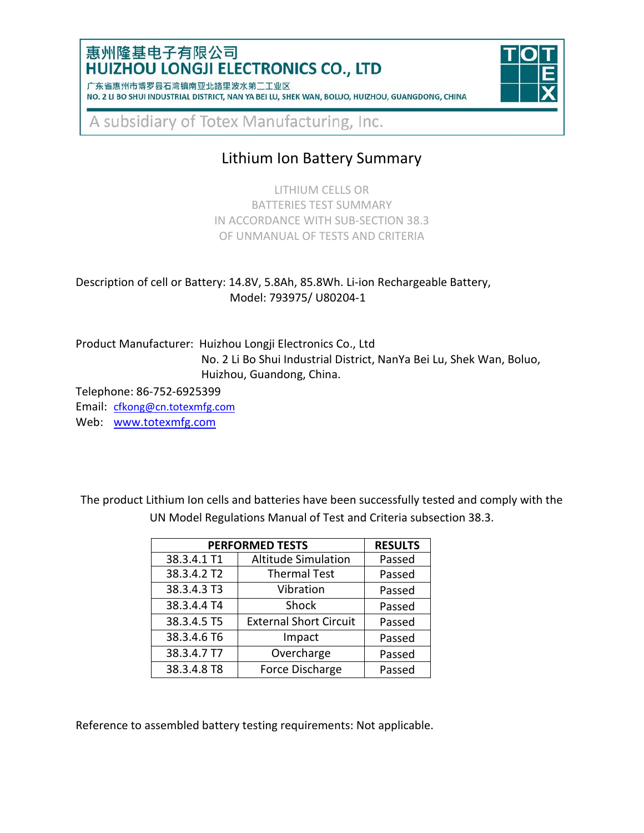### 惠州隆基电子有限公司 **HUIZHOU LONGJI ELECTRONICS CO., LTD**

| 1 朱省惠州市博岁县石湾镇南业北路里波水弟二上业区 |                                                                                                 |  |  |  |  |  |  |
|---------------------------|-------------------------------------------------------------------------------------------------|--|--|--|--|--|--|
|                           | NO. 2 LI BO SHUI INDUSTRIAL DISTRICT, NAN YA BEI LU, SHEK WAN, BOLUO, HUIZHOU, GUANGDONG, CHINA |  |  |  |  |  |  |



A subsidiary of Totex Manufacturing, Inc.

# Lithium Ion Battery Summary

LITHIUM CELLS OR BATTERIES TEST SUMMARY IN ACCORDANCE WITH SUB-SECTION 38.3 OF UNMANUAL OF TESTS AND CRITERIA

Description of cell or Battery: 14.8V, 5.8Ah, 85.8Wh. Li-ion Rechargeable Battery, Model: 793975/ U80204-1

Product Manufacturer: Huizhou Longji Electronics Co., Ltd No. 2 Li Bo Shui Industrial District, NanYa Bei Lu, Shek Wan, Boluo, Huizhou, Guandong, China.

Telephone: 86-752-6925399

Email: [cfkong@cn.totexmfg.com](mailto:cfkong@cn.totexmfg.com) Web: [www.totexmfg.com](http://www.totexmfg.com/)

The product Lithium Ion cells and batteries have been successfully tested and comply with the UN Model Regulations Manual of Test and Criteria subsection 38.3.

| <b>PERFORMED TESTS</b> | <b>RESULTS</b>                |        |
|------------------------|-------------------------------|--------|
| 38.3.4.1 T1            | <b>Altitude Simulation</b>    | Passed |
| 38.3.4.2 T2            | <b>Thermal Test</b>           | Passed |
| 38.3.4.3 T3            | Vibration                     | Passed |
| 38.3.4.4 T4            | Shock                         | Passed |
| 38.3.4.5 T5            | <b>External Short Circuit</b> | Passed |
| 38.3.4.6 T6            | Impact                        | Passed |
| 38.3.4.7 T7            | Overcharge                    | Passed |
| 38.3.4.8 T8            | Force Discharge               | Passed |

Reference to assembled battery testing requirements: Not applicable.